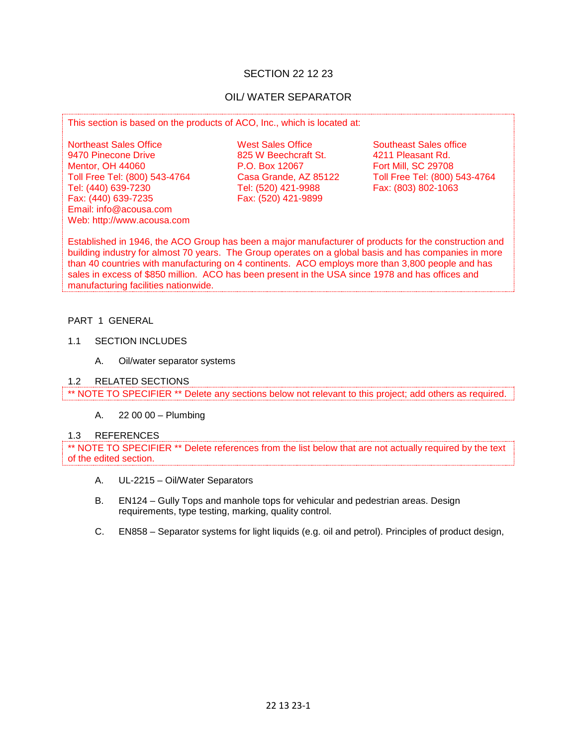## SECTION 22 12 23

# OIL/ WATER SEPARATOR

This section is based on the products of ACO, Inc., which is located at:

Northeast Sales Office The Mest Sales Office Southeast Sales office<br>
9470 Pinecone Drive 825 W Beechcraft St. 4211 Pleasant Rd. Mentor, OH 44060 **P.O. Box 12067** Fort Mill, SC 29708<br>
Toll Free Tel: (800) 543-4764 Casa Grande, AZ 85122 Toll Free Tel: (800) 543-4764 Toll Free Tel: (800) 543-4764 Casa Grande, AZ 85122 Toll Free Tel: (800) 543-4764 Tel: (440) 639-7230 Tel: (520) 421-9988<br>Fax: (440) 639-7235 Fax: (520) 421-9899 Email: info@acousa.com Web: http://www.acousa.com

825 W Beechcraft St. Fax: (520) 421-9899

Established in 1946, the ACO Group has been a major manufacturer of products for the construction and building industry for almost 70 years. The Group operates on a global basis and has companies in more than 40 countries with manufacturing on 4 continents. ACO employs more than 3,800 people and has sales in excess of \$850 million. ACO has been present in the USA since 1978 and has offices and manufacturing facilities nationwide.

#### PART 1 GENERAL

- 1.1 SECTION INCLUDES
	- A. Oil/water separator systems

#### 1.2 RELATED SECTIONS

\*\* NOTE TO SPECIFIER \*\* Delete any sections below not relevant to this project; add others as required.

A. 22 00 00 – Plumbing

#### 1.3 REFERENCES

\*\* NOTE TO SPECIFIER \*\* Delete references from the list below that are not actually required by the text of the edited section.

- A. UL-2215 Oil/Water Separators
- B. EN124 Gully Tops and manhole tops for vehicular and pedestrian areas. Design requirements, type testing, marking, quality control.
- C. EN858 Separator systems for light liquids (e.g. oil and petrol). Principles of product design,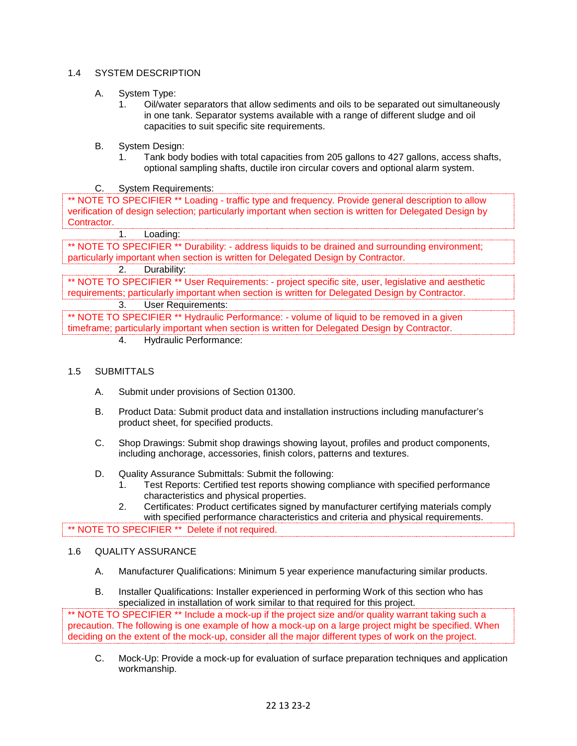## 1.4 SYSTEM DESCRIPTION

- A. System Type:
	- 1. Oil/water separators that allow sediments and oils to be separated out simultaneously in one tank. Separator systems available with a range of different sludge and oil capacities to suit specific site requirements.
- B. System Design:
	- 1. Tank body bodies with total capacities from 205 gallons to 427 gallons, access shafts, optional sampling shafts, ductile iron circular covers and optional alarm system.

C. System Requirements:

\*\* NOTE TO SPECIFIER \*\* Loading - traffic type and frequency. Provide general description to allow verification of design selection; particularly important when section is written for Delegated Design by Contractor.

1. Loading:

\*\* NOTE TO SPECIFIER \*\* Durability: - address liquids to be drained and surrounding environment; particularly important when section is written for Delegated Design by Contractor.

2. Durability:

\*\* NOTE TO SPECIFIER \*\* User Requirements: - project specific site, user, legislative and aesthetic requirements; particularly important when section is written for Delegated Design by Contractor.

3. User Requirements:

\*\* NOTE TO SPECIFIER \*\* Hydraulic Performance: - volume of liquid to be removed in a given timeframe; particularly important when section is written for Delegated Design by Contractor.

4. Hydraulic Performance:

#### 1.5 SUBMITTALS

- A. Submit under provisions of Section 01300.
- B. Product Data: Submit product data and installation instructions including manufacturer's product sheet, for specified products.
- C. Shop Drawings: Submit shop drawings showing layout, profiles and product components, including anchorage, accessories, finish colors, patterns and textures.
- D. Quality Assurance Submittals: Submit the following:
	- 1. Test Reports: Certified test reports showing compliance with specified performance characteristics and physical properties.
	- 2. Certificates: Product certificates signed by manufacturer certifying materials comply with specified performance characteristics and criteria and physical requirements.

\*\* NOTE TO SPECIFIER \*\* Delete if not required.

## 1.6 QUALITY ASSURANCE

- A. Manufacturer Qualifications: Minimum 5 year experience manufacturing similar products.
- B. Installer Qualifications: Installer experienced in performing Work of this section who has specialized in installation of work similar to that required for this project.

\*\* NOTE TO SPECIFIER \*\* Include a mock-up if the project size and/or quality warrant taking such a precaution. The following is one example of how a mock-up on a large project might be specified. When deciding on the extent of the mock-up, consider all the major different types of work on the project.

C. Mock-Up: Provide a mock-up for evaluation of surface preparation techniques and application workmanship.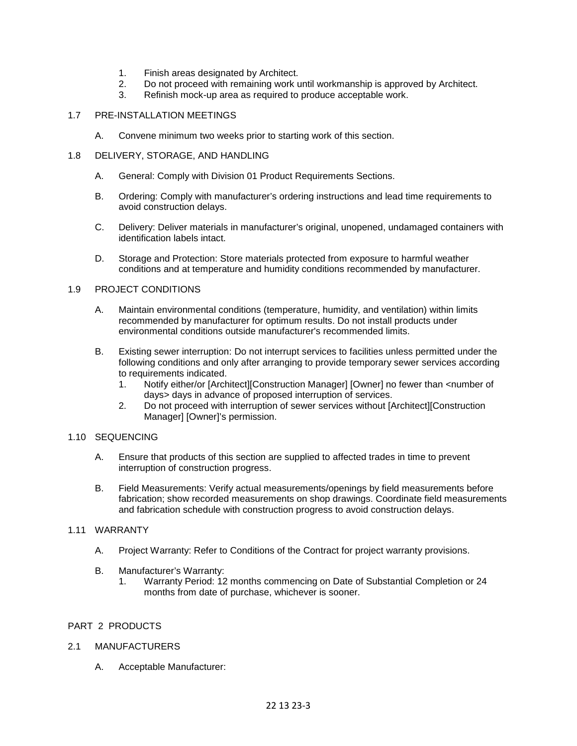- 1. Finish areas designated by Architect.
- 2. Do not proceed with remaining work until workmanship is approved by Architect.
- 3. Refinish mock-up area as required to produce acceptable work.

#### 1.7 PRE-INSTALLATION MEETINGS

A. Convene minimum two weeks prior to starting work of this section.

## 1.8 DELIVERY, STORAGE, AND HANDLING

- A. General: Comply with Division 01 Product Requirements Sections.
- B. Ordering: Comply with manufacturer's ordering instructions and lead time requirements to avoid construction delays.
- C. Delivery: Deliver materials in manufacturer's original, unopened, undamaged containers with identification labels intact.
- D. Storage and Protection: Store materials protected from exposure to harmful weather conditions and at temperature and humidity conditions recommended by manufacturer.

#### 1.9 PROJECT CONDITIONS

- A. Maintain environmental conditions (temperature, humidity, and ventilation) within limits recommended by manufacturer for optimum results. Do not install products under environmental conditions outside manufacturer's recommended limits.
- B. Existing sewer interruption: Do not interrupt services to facilities unless permitted under the following conditions and only after arranging to provide temporary sewer services according to requirements indicated.<br>1. Notify either/or [Arch]
	- Notify either/or [Architect][Construction Manager] [Owner] no fewer than <number of days> days in advance of proposed interruption of services.
	- 2. Do not proceed with interruption of sewer services without [Architect][Construction Manager] [Owner]'s permission.

#### 1.10 SEQUENCING

- A. Ensure that products of this section are supplied to affected trades in time to prevent interruption of construction progress.
- B. Field Measurements: Verify actual measurements/openings by field measurements before fabrication; show recorded measurements on shop drawings. Coordinate field measurements and fabrication schedule with construction progress to avoid construction delays.

## 1.11 WARRANTY

- A. Project Warranty: Refer to Conditions of the Contract for project warranty provisions.
- B. Manufacturer's Warranty:
	- 1. Warranty Period: 12 months commencing on Date of Substantial Completion or 24 months from date of purchase, whichever is sooner.

## PART 2 PRODUCTS

## 2.1 MANUFACTURERS

A. Acceptable Manufacturer: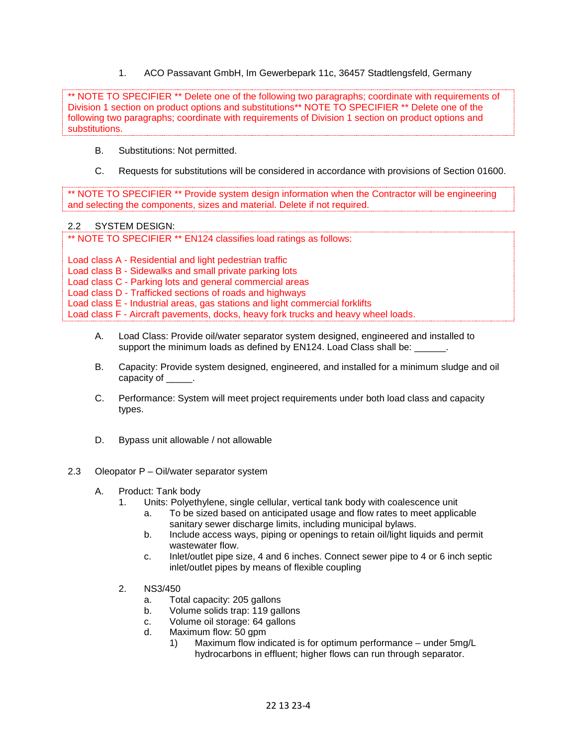1. ACO Passavant GmbH, Im Gewerbepark 11c, 36457 Stadtlengsfeld, Germany

\*\* NOTE TO SPECIFIER \*\* Delete one of the following two paragraphs; coordinate with requirements of Division 1 section on product options and substitutions<sup>\*\*</sup> NOTE TO SPECIFIER <sup>\*\*</sup> Delete one of the following two paragraphs; coordinate with requirements of Division 1 section on product options and substitutions.

- B. Substitutions: Not permitted.
- C. Requests for substitutions will be considered in accordance with provisions of Section 01600.

\*\* NOTE TO SPECIFIER \*\* Provide system design information when the Contractor will be engineering and selecting the components, sizes and material. Delete if not required.

#### 2.2 SYSTEM DESIGN:

\*\* NOTE TO SPECIFIER \*\* EN124 classifies load ratings as follows:

Load class A - Residential and light pedestrian traffic

Load class B - Sidewalks and small private parking lots

Load class C - Parking lots and general commercial areas

Load class D - Trafficked sections of roads and highways

Load class E - Industrial areas, gas stations and light commercial forklifts

Load class F - Aircraft pavements, docks, heavy fork trucks and heavy wheel loads.

- A. Load Class: Provide oil/water separator system designed, engineered and installed to support the minimum loads as defined by EN124. Load Class shall be:
- B. Capacity: Provide system designed, engineered, and installed for a minimum sludge and oil capacity of \_\_\_\_\_.
- C. Performance: System will meet project requirements under both load class and capacity types.
- D. Bypass unit allowable / not allowable

## 2.3 Oleopator P – Oil/water separator system

- A. Product: Tank body
	- 1. Units: Polyethylene, single cellular, vertical tank body with coalescence unit
		- a. To be sized based on anticipated usage and flow rates to meet applicable sanitary sewer discharge limits, including municipal bylaws.
		- b. Include access ways, piping or openings to retain oil/light liquids and permit wastewater flow.
		- c. Inlet/outlet pipe size, 4 and 6 inches. Connect sewer pipe to 4 or 6 inch septic inlet/outlet pipes by means of flexible coupling
	- 2. NS3/450
		- a. Total capacity: 205 gallons
		- b. Volume solids trap: 119 gallons
		- c. Volume oil storage: 64 gallons
		- d. Maximum flow: 50 gpm
			- 1) Maximum flow indicated is for optimum performance under 5mg/L hydrocarbons in effluent; higher flows can run through separator.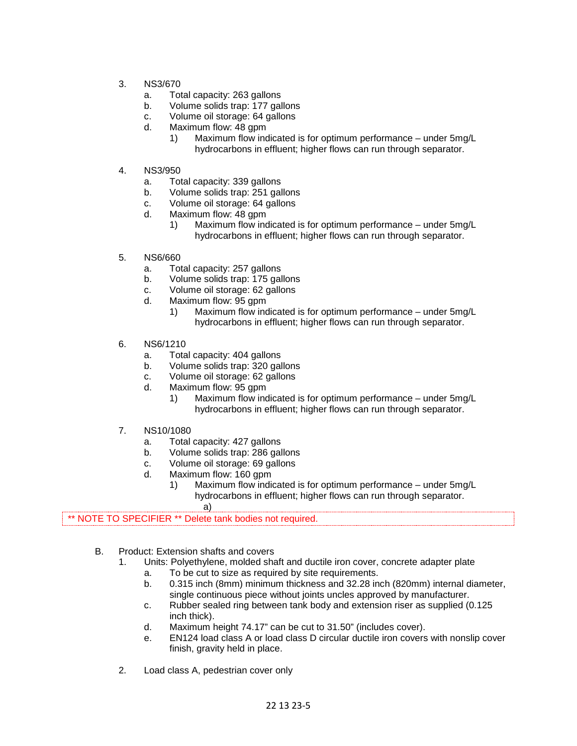- 3. NS3/670
	- a. Total capacity: 263 gallons
	- b. Volume solids trap: 177 gallons
	- c. Volume oil storage: 64 gallons
	- d. Maximum flow: 48 gpm
		- 1) Maximum flow indicated is for optimum performance under 5mg/L hydrocarbons in effluent; higher flows can run through separator.
- 4. NS3/950
	- a. Total capacity: 339 gallons
	- b. Volume solids trap: 251 gallons
	- c. Volume oil storage: 64 gallons
	- d. Maximum flow: 48 gpm
		- 1) Maximum flow indicated is for optimum performance under 5mg/L hydrocarbons in effluent; higher flows can run through separator.
- 5. NS6/660
	- a. Total capacity: 257 gallons
	- b. Volume solids trap: 175 gallons
	- c. Volume oil storage: 62 gallons
	- d. Maximum flow: 95 gpm
		- 1) Maximum flow indicated is for optimum performance under 5mg/L hydrocarbons in effluent; higher flows can run through separator.
- 6. NS6/1210
	- a. Total capacity: 404 gallons
	- b. Volume solids trap: 320 gallons
	- c. Volume oil storage: 62 gallons
	- d. Maximum flow: 95 gpm
		- 1) Maximum flow indicated is for optimum performance under 5mg/L hydrocarbons in effluent; higher flows can run through separator.
- 7. NS10/1080
	- a. Total capacity: 427 gallons
	- b. Volume solids trap: 286 gallons
	- c. Volume oil storage: 69 gallons
	- d. Maximum flow: 160 gpm
		- 1) Maximum flow indicated is for optimum performance under 5mg/L hydrocarbons in effluent; higher flows can run through separator.
			- a)

\*\* NOTE TO SPECIFIER \*\* Delete tank bodies not required.

- B. Product: Extension shafts and covers
	- 1. Units: Polyethylene, molded shaft and ductile iron cover, concrete adapter plate
		- a. To be cut to size as required by site requirements.
		- b. 0.315 inch (8mm) minimum thickness and 32.28 inch (820mm) internal diameter, single continuous piece without joints uncles approved by manufacturer.
		- c. Rubber sealed ring between tank body and extension riser as supplied (0.125 inch thick).
		- d. Maximum height 74.17" can be cut to 31.50" (includes cover).
		- e. EN124 load class A or load class D circular ductile iron covers with nonslip cover finish, gravity held in place.
	- 2. Load class A, pedestrian cover only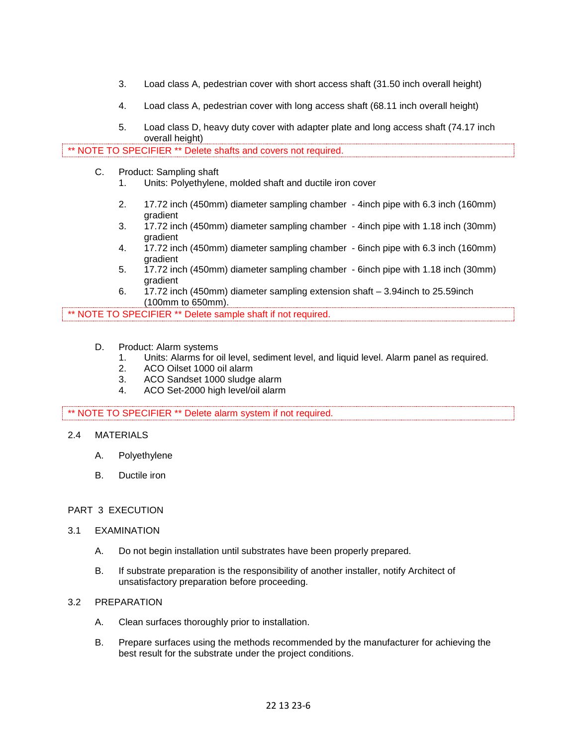- 3. Load class A, pedestrian cover with short access shaft (31.50 inch overall height)
- 4. Load class A, pedestrian cover with long access shaft (68.11 inch overall height)
- 5. Load class D, heavy duty cover with adapter plate and long access shaft (74.17 inch overall height)

\*\* NOTE TO SPECIFIER \*\* Delete shafts and covers not required.

- C. Product: Sampling shaft
	- 1. Units: Polyethylene, molded shaft and ductile iron cover
	- 2. 17.72 inch (450mm) diameter sampling chamber 4inch pipe with 6.3 inch (160mm) gradient
	- 3. 17.72 inch (450mm) diameter sampling chamber 4inch pipe with 1.18 inch (30mm) gradient
	- 4. 17.72 inch (450mm) diameter sampling chamber 6inch pipe with 6.3 inch (160mm) gradient
	- 5. 17.72 inch (450mm) diameter sampling chamber 6inch pipe with 1.18 inch (30mm) gradient
	- 6. 17.72 inch (450mm) diameter sampling extension shaft 3.94inch to 25.59inch (100mm to 650mm).

\*\* NOTE TO SPECIFIER \*\* Delete sample shaft if not required.

- D. Product: Alarm systems
	- 1. Units: Alarms for oil level, sediment level, and liquid level. Alarm panel as required.
	- 2. ACO Oilset 1000 oil alarm
	- 3. ACO Sandset 1000 sludge alarm
	- 4. ACO Set-2000 high level/oil alarm

\*\* NOTE TO SPECIFIER \*\* Delete alarm system if not required.

- 2.4 MATERIALS
	- A. Polyethylene
	- B. Ductile iron

#### PART 3 EXECUTION

- 3.1 EXAMINATION
	- A. Do not begin installation until substrates have been properly prepared.
	- B. If substrate preparation is the responsibility of another installer, notify Architect of unsatisfactory preparation before proceeding.

## 3.2 PREPARATION

- A. Clean surfaces thoroughly prior to installation.
- B. Prepare surfaces using the methods recommended by the manufacturer for achieving the best result for the substrate under the project conditions.